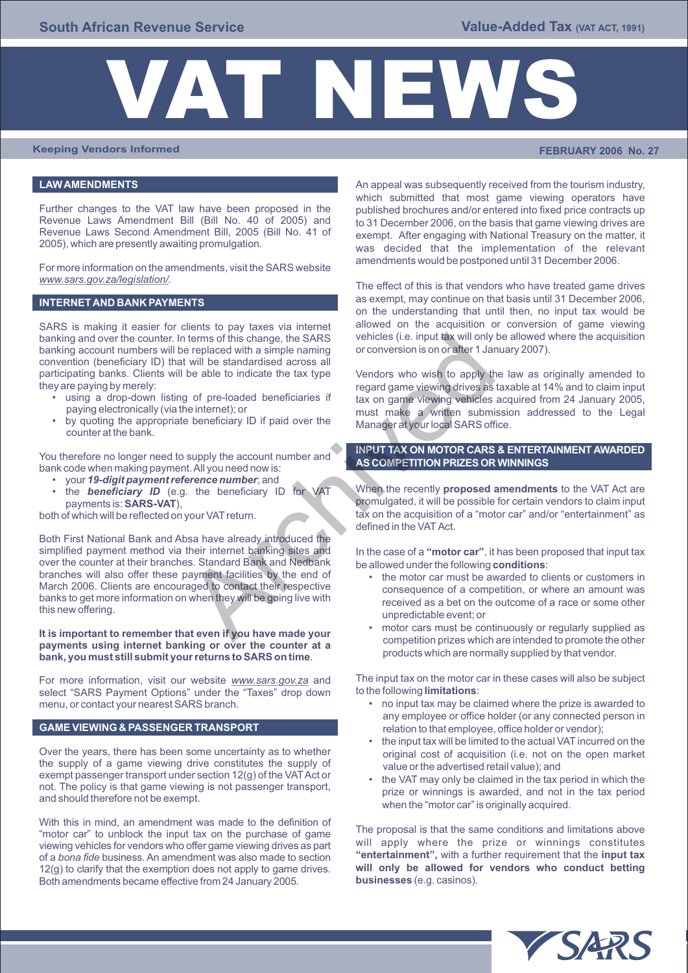

**Keeping Vendors Informed FEBRUARY 2006 No. 27**

# **LAW AMENDMENTS**

Revenue Laws Amendment Bill (Bill No. 40 of 2005) and to 31 December 2006, on the basis that game viewing drives are<br>Revenue Laws Second Amendment Bill, 2005 (Bill No. 41 of sexempt After engaging with National Treasury on Revenue Laws Second Amendment Bill, 2005 (Bill No. 41 of exempt. After engaging with National Treasury on the matter, it<br>2005), which are presently awaiting promulgation.

For more information on the amendments, visit the SARS website *www.sars.gov.za/legislation/.* The effect of this is that vendors who have treated game drives

# **INTERNET AND BANK PAYMENTS**

banking and over the counter. In terms of this change, the SARS vehicles (i.e. input tax will only be allowed v<br>banking account numbers will be replaced with a simple naming or conversion is on or after 1 January 2007). banking account numbers will be replaced with a simple naming convention (beneficiary ID) that will be standardised across all participating banks. Clients will be able to indicate the tax type participating banks. Clients will be able to indicate the tax type Vendors who wish to apply the law as originally amended to they are paying by merely:<br>regard game viewing drives as taxable at 14% and to claim input

- 
- by quoting the appropriate beneficiary ID if paid over the counter at the bank.

You therefore no longer need to supply the account number and bank code when making payment. All you need now is:

- your *19-digit payment reference number*; and
- 

Both First National Bank and Absa have already introduced the simplified payment method via their internet banking sites and over the counter at their branches. Standard Bank and Nedbank branches will also offer these payment facilities by the end of March 2006. Clients are encouraged to contact their respective<br>
banks to get more information on when they will be going live with<br>
received as a bet on the outcome of a race or some other The terms of this change, the SARS<br>
vehicles (i.e. input tax will only<br>
archived a simple naming<br>
to the standardised across all<br>
be able to indicate the tax type<br>
or conversion is on orater 1 Jar<br>
per-loaded beneficiaries

bank, you must still submit your returns to SARS on time.

select "SARS Payment Options" under the "Taxes" drop down menu, or contact your nearest SARS branch.

# **GAME VIEWING & PASSENGER TRANSPORT**

Over the years, there has been some uncertainty as to whether original cost of acquisition (i.e. not on the open market the supply of a game viewing drive constitutes the supply of the supply of a game viewing drive constitutes the supply of exempt passenger transport under section  $12(q)$  of the VAT Act or

With this in mind, an amendment was made to the definition of The proposal is that the same conditions and limitations above<br>"motor car" to unblock the input tax on the purchase of game<br>"will apply where the prize or winnings constitutes" viewing vehicles for vendors who offer game viewing drives as part will apply where the prize or winnings constitutes viewing drives as part will apply where the prize or winnings constitutes of a bona fide history of a bo of a *bona fide* business. An amendment was also made to section **"entertainment"**, with a further requirement that the **input tax 12(g)** to clarify that the exemption does not apply to game drives. Will only be allowed 12(g) to clarify that the exemption does not apply to game drives. **will only be allowed for venture 11**<br>Both amendments became effective from 24 January 2005. **businesses** (e.g. casinos). Both amendments became effective from 24 January 2005.

An appeal was subsequently received from the tourism industry, which submitted that most game viewing operators have Further changes to the VAT law have been proposed in the published brochures and/or entered into fixed price contracts up<br>Revenue Laws Amendment Bill (Bill No. 40 of 2005) and to 31 December 2006 on the basis that game vie was decided that the implementation of the relevant amendments would be postponed until 31 December 2006.

as exempt, may continue on that basis until 31 December 2006, on the understanding that until then, no input tax would be SARS is making it easier for clients to pay taxes via internet allowed on the acquisition or conversion of game viewing<br>banking and over the counter. In terms of this change, the SARS vehicles (i.e. input tax will only be

they are paying by merely:<br>• using a drop-down listing of pre-loaded beneficiaries if tax on game viewing vehicles acquired from 24 January 2005. using a drop-down listing of pre-loaded beneficiaries if tax on game viewing vehicles acquired from 24 January 2005,<br>paying electronically (via the internet); or the soul must make a written submission addressed to the Leg must make a written submission addressed to the Legal Manager at your local SARS office.

# **INPUT TAX ON MOTOR CARS & ENTERTAINMENT AWARDED AS COMPETITION PRIZES OR WINNINGS**

when the recently **proposed amendments** to the VAT Act are **beneficiary ID** (e.g. the beneficiary ID for VAT When the recently **proposed amendments** to the VAT Act are **proposed** and **proposed** and **proposed** and **proposed** payments is: **SARS-VAT**),<br>both of which will be reflected on your VAT return.<br>both of which will be reflected on your VAT return. tax on the acquisition of a "motor car" and/or "entertainment" as defined in the VAT Act.

In the case of a "**motor car**", it has been proposed that input tax<br>be allowed under the following **conditions**:

- the motor car must be awarded to clients or customers in banks to get more information on when they will be going live with received as a bet on the outcome of a race or some other this new offering.
- It is important to remember that even if you have made your<br>
payments using internet banking or over the counter at a<br>
bank you must still submit your returns to SAPS on time<br>
products which are normally supplied by that v

For more information, visit our website *www.sars.gov.za* and<br>select "SARS Payment Ontions" under the "Taxes" drop down to the following limitations:

- no input tax may be claimed where the prize is awarded to any employee or office holder (or any connected person in relation to that employee, office holder or vendor);
- the input tax will be limited to the actual VAT incurred on the
- exempt passenger transport under section 12(g) of the VAI Act or<br>
not. The policy is that game viewing is not passenger transport,<br>
and should therefore not be exempt.<br>
when the "motor car" is originally acquired.